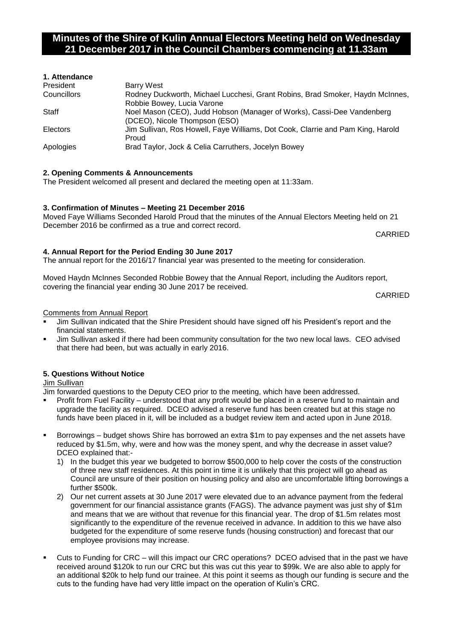# **Minutes of the Shire of Kulin Annual Electors Meeting held on Wednesday 21 December 2017 in the Council Chambers commencing at 11.33am**

| 1. Attendance |                                                                                                             |
|---------------|-------------------------------------------------------------------------------------------------------------|
| President     | Barry West                                                                                                  |
| Councillors   | Rodney Duckworth, Michael Lucchesi, Grant Robins, Brad Smoker, Haydn McInnes,<br>Robbie Bowey, Lucia Varone |
| Staff         | Noel Mason (CEO), Judd Hobson (Manager of Works), Cassi-Dee Vandenberg                                      |
|               | (DCEO), Nicole Thompson (ESO)                                                                               |
| Electors      | Jim Sullivan, Ros Howell, Faye Williams, Dot Cook, Clarrie and Pam King, Harold                             |
|               | Proud                                                                                                       |
| Apologies     | Brad Taylor, Jock & Celia Carruthers, Jocelyn Bowey                                                         |

# **2. Opening Comments & Announcements**

The President welcomed all present and declared the meeting open at 11:33am.

### **3. Confirmation of Minutes – Meeting 21 December 2016**

Moved Faye Williams Seconded Harold Proud that the minutes of the Annual Electors Meeting held on 21 December 2016 be confirmed as a true and correct record.

CARRIED

### **4. Annual Report for the Period Ending 30 June 2017**

The annual report for the 2016/17 financial year was presented to the meeting for consideration.

Moved Haydn McInnes Seconded Robbie Bowey that the Annual Report, including the Auditors report, covering the financial year ending 30 June 2017 be received.

CARRIED

### Comments from Annual Report

- Jim Sullivan indicated that the Shire President should have signed off his President's report and the financial statements.
- Jim Sullivan asked if there had been community consultation for the two new local laws. CEO advised that there had been, but was actually in early 2016.

### **5. Questions Without Notice**

Jim Sullivan

Jim forwarded questions to the Deputy CEO prior to the meeting, which have been addressed.

- Profit from Fuel Facility understood that any profit would be placed in a reserve fund to maintain and upgrade the facility as required. DCEO advised a reserve fund has been created but at this stage no funds have been placed in it, will be included as a budget review item and acted upon in June 2018.
- Borrowings budget shows Shire has borrowed an extra \$1m to pay expenses and the net assets have reduced by \$1.5m, why, were and how was the money spent, and why the decrease in asset value? DCEO explained that:-
	- 1) In the budget this year we budgeted to borrow \$500,000 to help cover the costs of the construction of three new staff residences. At this point in time it is unlikely that this project will go ahead as Council are unsure of their position on housing policy and also are uncomfortable lifting borrowings a further \$500k.
	- 2) Our net current assets at 30 June 2017 were elevated due to an advance payment from the federal government for our financial assistance grants (FAGS). The advance payment was just shy of \$1m and means that we are without that revenue for this financial year. The drop of \$1.5m relates most significantly to the expenditure of the revenue received in advance. In addition to this we have also budgeted for the expenditure of some reserve funds (housing construction) and forecast that our employee provisions may increase.
- Cuts to Funding for CRC will this impact our CRC operations? DCEO advised that in the past we have received around \$120k to run our CRC but this was cut this year to \$99k. We are also able to apply for an additional \$20k to help fund our trainee. At this point it seems as though our funding is secure and the cuts to the funding have had very little impact on the operation of Kulin's CRC.